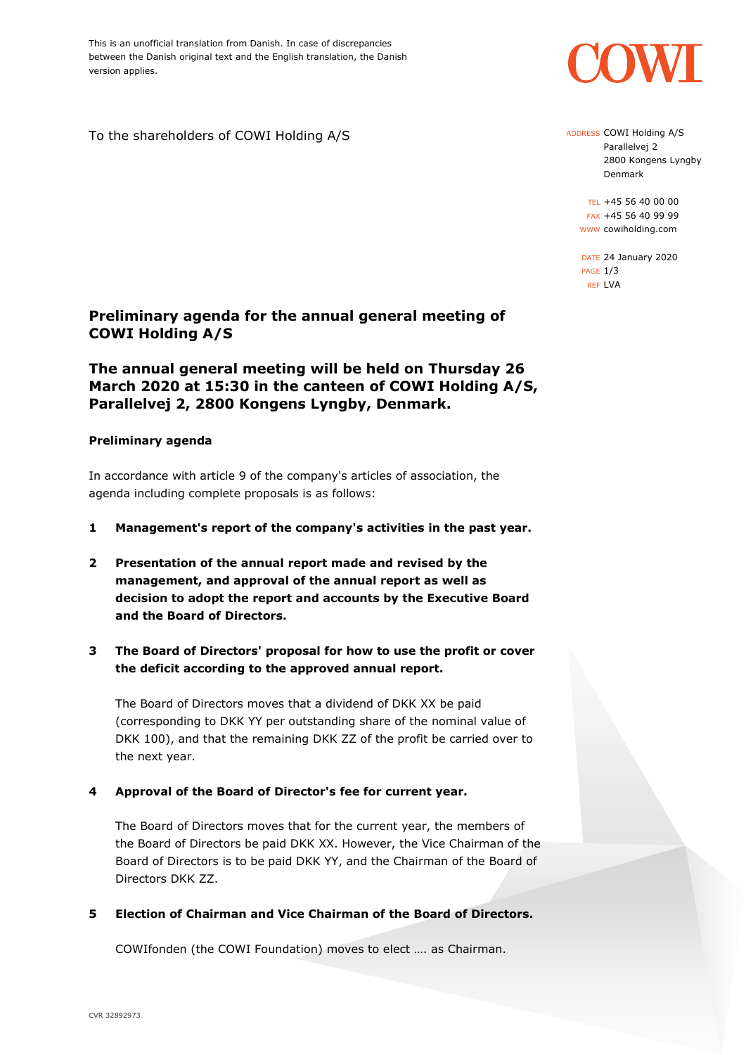This is an unofficial translation from Danish. In case of discrepancies between the Danish original text and the English translation, the Danish version applies.

To the shareholders of COWI Holding A/S

# **Preliminary agenda for the annual general meeting of COWI Holding A/S**

# **The annual general meeting will be held on Thursday 26 March 2020 at 15:30 in the canteen of COWI Holding A/S, Parallelvej 2, 2800 Kongens Lyngby, Denmark.**

## **Preliminary agenda**

In accordance with article 9 of the company's articles of association, the agenda including complete proposals is as follows:

- **1 Management's report of the company's activities in the past year.**
- **2 Presentation of the annual report made and revised by the management, and approval of the annual report as well as decision to adopt the report and accounts by the Executive Board and the Board of Directors.**

# **3 The Board of Directors' proposal for how to use the profit or cover the deficit according to the approved annual report.**

The Board of Directors moves that a dividend of DKK XX be paid (corresponding to DKK YY per outstanding share of the nominal value of DKK 100), and that the remaining DKK ZZ of the profit be carried over to the next year.

## **4 Approval of the Board of Director's fee for current year.**

The Board of Directors moves that for the current year, the members of the Board of Directors be paid DKK XX. However, the Vice Chairman of the Board of Directors is to be paid DKK YY, and the Chairman of the Board of Directors DKK ZZ.

**5 Election of Chairman and Vice Chairman of the Board of Directors.**

COWIfonden (the COWI Foundation) moves to elect …. as Chairman.



ADDRESS COWI Holding A/S Parallelvej 2 2800 Kongens Lyngby Denmark

TEL +45 56 40 00 00 FAX +45 56 40 99 99 WWW cowiholding.com

DATE 24 January 2020 PAGE 1/3 REF LVA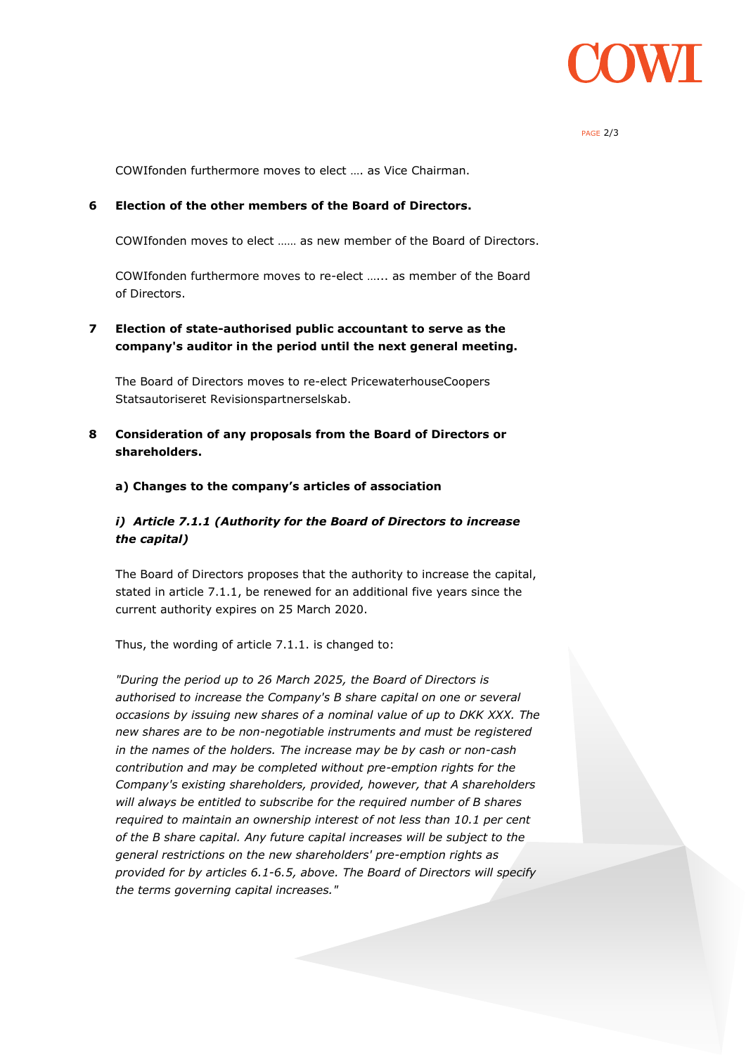

#### PAGE 2/3

COWIfonden furthermore moves to elect …. as Vice Chairman.

#### **6 Election of the other members of the Board of Directors.**

COWIfonden moves to elect …… as new member of the Board of Directors.

COWIfonden furthermore moves to re-elect …... as member of the Board of Directors.

## **7 Election of state-authorised public accountant to serve as the company's auditor in the period until the next general meeting.**

The Board of Directors moves to re-elect PricewaterhouseCoopers Statsautoriseret Revisionspartnerselskab.

**8 Consideration of any proposals from the Board of Directors or shareholders.**

#### **a) Changes to the company's articles of association**

## *i) Article 7.1.1 (Authority for the Board of Directors to increase the capital)*

The Board of Directors proposes that the authority to increase the capital, stated in article 7.1.1, be renewed for an additional five years since the current authority expires on 25 March 2020.

Thus, the wording of article 7.1.1. is changed to:

*"During the period up to 26 March 2025, the Board of Directors is authorised to increase the Company's B share capital on one or several occasions by issuing new shares of a nominal value of up to DKK XXX. The new shares are to be non-negotiable instruments and must be registered in the names of the holders. The increase may be by cash or non-cash contribution and may be completed without pre-emption rights for the Company's existing shareholders, provided, however, that A shareholders will always be entitled to subscribe for the required number of B shares required to maintain an ownership interest of not less than 10.1 per cent of the B share capital. Any future capital increases will be subject to the general restrictions on the new shareholders' pre-emption rights as provided for by articles 6.1-6.5, above. The Board of Directors will specify the terms governing capital increases."*